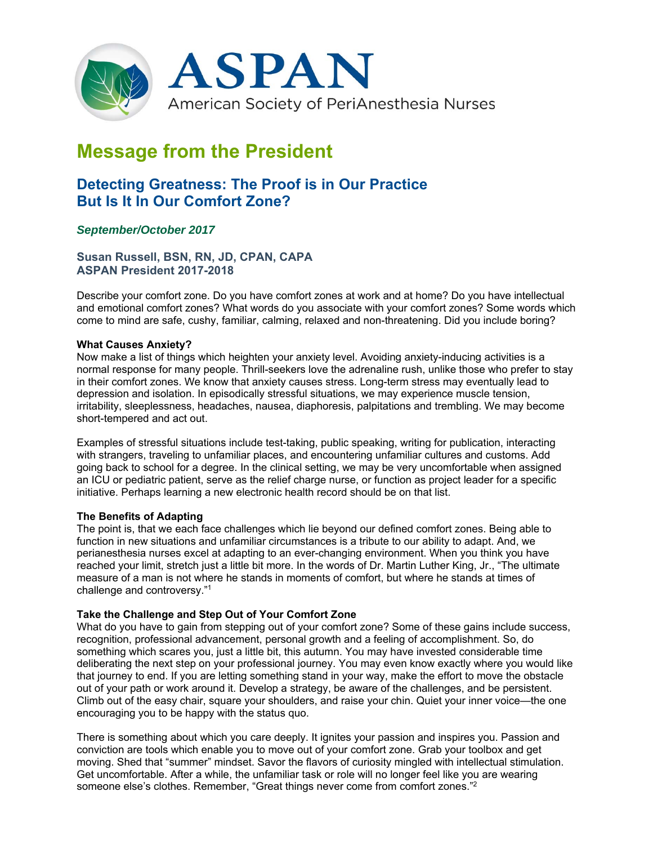

# **Message from the President**

# **Detecting Greatness: The Proof is in Our Practice But Is It In Our Comfort Zone?**

## *September/October 2017*

**Susan Russell, BSN, RN, JD, CPAN, CAPA ASPAN President 2017-2018** 

Describe your comfort zone. Do you have comfort zones at work and at home? Do you have intellectual and emotional comfort zones? What words do you associate with your comfort zones? Some words which come to mind are safe, cushy, familiar, calming, relaxed and non-threatening. Did you include boring?

#### **What Causes Anxiety?**

Now make a list of things which heighten your anxiety level. Avoiding anxiety-inducing activities is a normal response for many people. Thrill-seekers love the adrenaline rush, unlike those who prefer to stay in their comfort zones. We know that anxiety causes stress. Long-term stress may eventually lead to depression and isolation. In episodically stressful situations, we may experience muscle tension, irritability, sleeplessness, headaches, nausea, diaphoresis, palpitations and trembling. We may become short-tempered and act out.

Examples of stressful situations include test-taking, public speaking, writing for publication, interacting with strangers, traveling to unfamiliar places, and encountering unfamiliar cultures and customs. Add going back to school for a degree. In the clinical setting, we may be very uncomfortable when assigned an ICU or pediatric patient, serve as the relief charge nurse, or function as project leader for a specific initiative. Perhaps learning a new electronic health record should be on that list.

### **The Benefits of Adapting**

The point is, that we each face challenges which lie beyond our defined comfort zones. Being able to function in new situations and unfamiliar circumstances is a tribute to our ability to adapt. And, we perianesthesia nurses excel at adapting to an ever-changing environment. When you think you have reached your limit, stretch just a little bit more. In the words of Dr. Martin Luther King, Jr., "The ultimate measure of a man is not where he stands in moments of comfort, but where he stands at times of challenge and controversy."1

#### **Take the Challenge and Step Out of Your Comfort Zone**

What do you have to gain from stepping out of your comfort zone? Some of these gains include success, recognition, professional advancement, personal growth and a feeling of accomplishment. So, do something which scares you, just a little bit, this autumn. You may have invested considerable time deliberating the next step on your professional journey. You may even know exactly where you would like that journey to end. If you are letting something stand in your way, make the effort to move the obstacle out of your path or work around it. Develop a strategy, be aware of the challenges, and be persistent. Climb out of the easy chair, square your shoulders, and raise your chin. Quiet your inner voice—the one encouraging you to be happy with the status quo.

There is something about which you care deeply. It ignites your passion and inspires you. Passion and conviction are tools which enable you to move out of your comfort zone. Grab your toolbox and get moving. Shed that "summer" mindset. Savor the flavors of curiosity mingled with intellectual stimulation. Get uncomfortable. After a while, the unfamiliar task or role will no longer feel like you are wearing someone else's clothes. Remember, "Great things never come from comfort zones."2